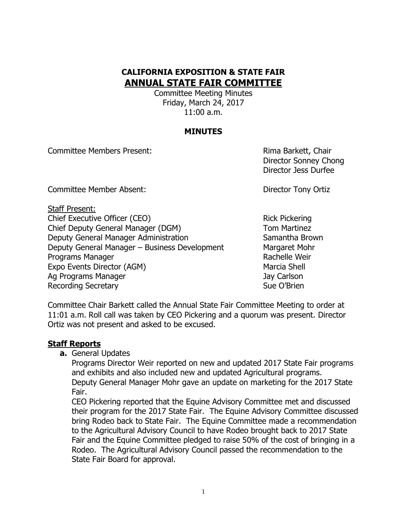# **CALIFORNIA EXPOSITION & STATE FAIR ANNUAL STATE FAIR COMMITTEE**

Committee Meeting Minutes Friday, March 24, 2017 11:00 a.m.

### **MINUTES**

Committee Members Present: Rima Barkett, Chair

Director Sonney Chong Director Jess Durfee

Committee Member Absent: Director Tony Ortiz

Staff Present: Chief Executive Officer (CEO) Rick Pickering Chief Deputy General Manager (DGM) Tom Martinez Deputy General Manager Administration Samantha Brown Deputy General Manager – Business Development Margaret Mohr Programs Manager **Rachelle Weir** Rachelle Weir Expo Events Director (AGM) Marcia Shell Ag Programs Manager **Jay Carlson** Recording Secretary **Sue O'Brien** Sue O'Brien

Committee Chair Barkett called the Annual State Fair Committee Meeting to order at 11:01 a.m. Roll call was taken by CEO Pickering and a quorum was present. Director Ortiz was not present and asked to be excused.

#### **Staff Reports**

**a.** General Updates

Programs Director Weir reported on new and updated 2017 State Fair programs and exhibits and also included new and updated Agricultural programs. Deputy General Manager Mohr gave an update on marketing for the 2017 State Fair.

CEO Pickering reported that the Equine Advisory Committee met and discussed their program for the 2017 State Fair. The Equine Advisory Committee discussed bring Rodeo back to State Fair. The Equine Committee made a recommendation to the Agricultural Advisory Council to have Rodeo brought back to 2017 State Fair and the Equine Committee pledged to raise 50% of the cost of bringing in a Rodeo. The Agricultural Advisory Council passed the recommendation to the State Fair Board for approval.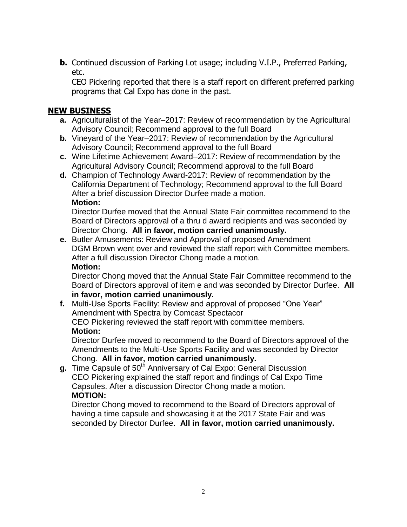**b.** Continued discussion of Parking Lot usage; including V.I.P., Preferred Parking, etc.

CEO Pickering reported that there is a staff report on different preferred parking programs that Cal Expo has done in the past.

# **NEW BUSINESS**

- **a.** Agriculturalist of the Year–2017: Review of recommendation by the Agricultural Advisory Council; Recommend approval to the full Board
- **b.** Vineyard of the Year–2017: Review of recommendation by the Agricultural Advisory Council; Recommend approval to the full Board
- **c.** Wine Lifetime Achievement Award–2017: Review of recommendation by the Agricultural Advisory Council; Recommend approval to the full Board
- **d.** Champion of Technology Award-2017: Review of recommendation by the California Department of Technology; Recommend approval to the full Board After a brief discussion Director Durfee made a motion. **Motion:**

Director Durfee moved that the Annual State Fair committee recommend to the Board of Directors approval of a thru d award recipients and was seconded by Director Chong. **All in favor, motion carried unanimously.**

**e.** Butler Amusements: Review and Approval of proposed Amendment DGM Brown went over and reviewed the staff report with Committee members. After a full discussion Director Chong made a motion. **Motion:**

Director Chong moved that the Annual State Fair Committee recommend to the Board of Directors approval of item e and was seconded by Director Durfee. **All in favor, motion carried unanimously.**

**f.** Multi-Use Sports Facility: Review and approval of proposed "One Year" Amendment with Spectra by Comcast Spectacor CEO Pickering reviewed the staff report with committee members. **Motion:**

Director Durfee moved to recommend to the Board of Directors approval of the Amendments to the Multi-Use Sports Facility and was seconded by Director Chong. **All in favor, motion carried unanimously.**

**g.** Time Capsule of 50<sup>th</sup> Anniversary of Cal Expo: General Discussion CEO Pickering explained the staff report and findings of Cal Expo Time Capsules. After a discussion Director Chong made a motion. **MOTION:**

Director Chong moved to recommend to the Board of Directors approval of having a time capsule and showcasing it at the 2017 State Fair and was seconded by Director Durfee. **All in favor, motion carried unanimously.**